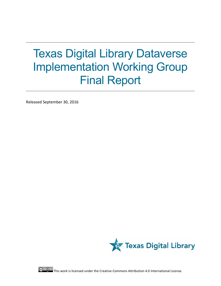# Texas Digital Library Dataverse Implementation Working Group Final Report

Released September 30, 2016





 $\bigcirc$   $\bigcirc$  This work is licensed under the Creative Commons Attribution 4.0 International License.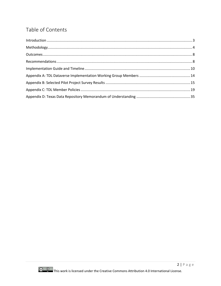# Table of Contents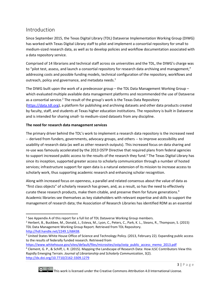# <span id="page-2-0"></span>Introduction

Since September 2015, the Texas Digital Library (TDL) Dataverse Implementation Working Group (DIWG) has worked with Texas Digital Library staff to pilot and implement a consortial repository for small to medium-sized research data, as well as to develop policies and workflow documentation associated with a data repository service.

Comprised of 14 librarians and technical staff across six universities and the TDL, the DIWG's charge was to "pilot test, assess, and launch a consortial repository for research data archiving and management," addressing costs and possible funding models, technical configuration of the repository, workflows and outreach, policy and governance, and metadata needs.<sup>1</sup>

The DIWG built upon the work of a predecessor group – the TDL Data Management Working Group – which evaluated multiple available data management platforms and recommended the use of Dataverse as a consortial service.<sup>2</sup> The result of the group's work is the Texas Data Repository [\(https://data.tdl.org\)](https://data.tdl.org/), a platform for publishing and archiving datasets and other data products created by faculty, staff, and students at Texas higher education institutions. The repository is built in Dataverse and is intended for sharing small- to medium-sized datasets from any discipline.

### **The need for research data management services**

The primary driver behind the TDL's work to implement a research data repository is the increased need -- derived from funders, governments, advocacy groups, and others -- to improve accessibility and usability of research data (as well as other research outputs). This increased focus on data sharing and re-use was famously accelerated by the 2013 OSTP Directive that required plans from federal agencies to support increased public access to the results of the research they fund. $3$  The Texas Digital Library has since its inception, supported greater access to scholarly communication through a number of hosted services; infrastructure support for open data is a natural extension of its mission to increase access to scholarly work, thus supporting academic research and enhancing scholar recognition.

Along with increased focus on openness, a parallel and related consensus about the value of data as "first class objects" of scholarly research has grown, and, as a result, so has the need to effectively curate these research products, make them citable, and preserve them for future generations.<sup>4</sup> Academic libraries see themselves as key stakeholders with relevant expertise and skills to support the management of research data; the Association of Research Libraries has identified RDM as an essential

<sup>4</sup> Clement, G. P., & Schiff, L. R. (2015). Mapping the Landscape of Research Data: How JLSC Contributors View this Rapidly Emerging Terrain. *Journal of Librarianship and Scholarly Communication*, 3(2). <http://dx.doi.org/10.7710/2162-3309.1279>



 $\overline{\phantom{a}}$  $<sup>1</sup>$  See Appendix A of this report for a full list of TDL Dataverse Working Group members.</sup>

<sup>2</sup> Herbert, B., Buckbee, M., Donald, J., Esteva, M., Lyon, C., Peters, C., Park, K. L., Steans, R., Thompson, S. (2015) TDL Data Management Working Group Report. Retrieved from TDL Repository. [http://hdl.handle.net/2249.1/68438.](http://hdl.handle.net/2249.1/68438)

<sup>&</sup>lt;sup>3</sup> United States White House Office of Science and Technology Policy. (2013, February 22). Expanding public access to the results of federally funded research. Retrieved from

[https://www.whitehouse.gov/sites/default/files/microsites/ostp/ostp\\_public\\_access\\_memo\\_2013.pdf](https://www.whitehouse.gov/sites/default/files/microsites/ostp/ostp_public_access_memo_2013.pdf)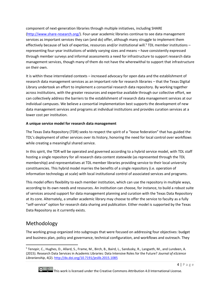component of next-generation libraries through multiple initiatives, including SHARE [\(http://www.share-research.org/\)](http://www.share-research.org/). Four-year academic libraries continue to see data management services as important services they can (and do) offer, although many struggle to implement them effectively because of lack of expertise, resources and/or institutional will.<sup>5</sup> TDL member institutions  $$ representing four-year institutions of widely varying sizes and means – have consistently expressed through member surveys and informal assessments a need for infrastructure to support research data management services, though many of them do not have the wherewithal to support that infrastructure on their own.

It is within these interrelated contexts – increased advocacy for open data and the establishment of research data management services as an important role for research libraries – that the Texas Digital Library undertook an effort to implement a consortial research data repository. By working together across institutions, with the greater resources and expertise available through our collective effort, we can collectively address the barriers to the establishment of research data management services at our individual campuses. We believe a consortial implementation best supports the development of new data management services and programs at individual institutions and provides curation services at a lower cost per institution.

### **A unique service model for research data management**

The Texas Data Repository (TDR) seeks to respect the spirit of a "loose federation" that has guided the TDL's deployment of other services over its history, honoring the need for local control over workflows while creating a meaningful shared service.

In this spirit, the TDR will be operated and governed according to a hybrid service model, with TDL staff hosting a single repository for all research data content statewide (as represented through the TDL membership) and representatives at TDL member libraries providing service to their local university constituencies. This hybrid model marries the benefits of a single repository (i.e. operation of information technology at scale) with local institutional control of associated services and programs.

This model offers flexibility to each member institution, which can use the repository in multiple ways, according to its own needs and resources. An institution can choose, for instance, to build a robust suite of services around support for data management planning and curation with the Texas Data Repository at its core. Alternately, a smaller academic library may choose to offer the service to faculty as a fully "self-service" option for research data sharing and publication. Either model is supported by the Texas Data Repository as it currently exists.

# <span id="page-3-0"></span>Methodology

The working group organized into subgroups that were focused on addressing four objectives: budget and business plan, policy and governance, technical configuration, and workflows and outreach. They

 $\overline{\phantom{a}}$ <sup>5</sup> Tenopir, C., Hughes, D., Allard, S., Frame, M., Birch, B., Baird, L., Sandusky, R., Langseth, M., and Lundeen, A. (2015). Research Data Services in Academic Libraries: Data Intensive Roles for the Future? *Journal of eScience Librarianship*, 4(2)[. http://dx.doi.org/10.7191/jeslib.2015.1085](http://dx.doi.org/10.7191/jeslib.2015.1085)

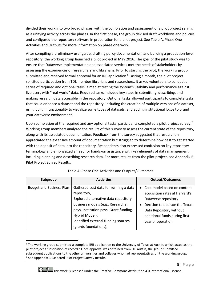divided their work into two broad phases, with the completion and assessment of a pilot project serving as a unifying activity across the phases. In the first phase, the group devised draft workflows and policies and configured the repository software in preparation for a pilot project. See Table A, Phase One Activities and Outputs for more information on phase one work.

After compiling a preliminary user guide, drafting policy documentation, and building a production-level repository, the working group launched a pilot project in May 2016. The goal of the pilot study was to ensure that Dataverse implementation and associated services met the needs of stakeholders by assessing the experiences of researchers and librarians. Prior to starting the pilot, the working group submitted and received formal approval for an IRB application.<sup>6</sup> Lasting a month, the pilot project solicited participation from TDL member librarians and researchers. It asked volunteers to conduct a series of required and optional tasks, aimed at testing the system's usability and performance against live users with "real-world" data. Required tasks included key steps in submitting, describing, and making research data accessible in the repository. Optional tasks allowed participants to complete tasks that could enhance a dataset and the repository, including the creation of multiple versions of a dataset, using built in functionality to visualize some types of datasets, and adding institutional logos to brand your dataverse environment.

Upon completion of the required and any optional tasks, participants completed a pilot project survey.<sup>7</sup> Working group members analyzed the results of this survey to assess the current state of the repository, along with its associated documentation. Feedback from the survey suggested that researchers appreciated the extensive amount of documentation but struggled to determine how best to get started with the deposit of data into the repository. Respondents also expressed confusion on key repository terminology and emphasized a need for hands-on assistance with key elements of data management, including planning and describing research data. For more results from the pilot project, see Appendix B: Pilot Project Survey Results.

| Subgroup                        | <b>Activities</b>                                                                                                                                                                                                                                             | <b>Output/Outcomes</b>                                                                                                                                                                                               |
|---------------------------------|---------------------------------------------------------------------------------------------------------------------------------------------------------------------------------------------------------------------------------------------------------------|----------------------------------------------------------------------------------------------------------------------------------------------------------------------------------------------------------------------|
| <b>Budget and Business Plan</b> | Gathered cost data for running a data<br>repository,<br>Explored alternative data repository<br>business models (e.g., Researcher<br>pays, Institution pays, Grant funding,<br>Hybrid Model),<br>Identified external funding sources<br>(grants foundations), | Cost model based on content<br>$\bullet$<br>acquisition rates at Harvard's<br>Dataverse repository<br>Decision to operate the Texas<br>Data Repository without<br>additional funds during first<br>year of operation |

### Table A: Phase One Activities and Outputs/Outcomes

<sup>&</sup>lt;sup>6</sup> The working group submitted a complete IRB application to the University of Texas at Austin, which acted as the pilot project's "institution of record." Once approval was obtained from UT-Austin, the group submitted subsequent applications to the other universities and colleges who had representatives on the working group. <sup>7</sup> See Appendix B: Selected Pilot Project Survey Results.



 $\overline{a}$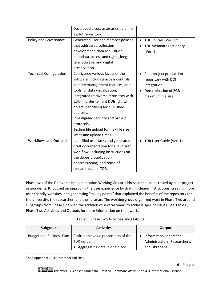|                                | Developed a cost assessment plan for  |                                                 |
|--------------------------------|---------------------------------------|-------------------------------------------------|
|                                | a pilot repository.                   |                                                 |
| Policy and Governance          | Generated user and member policies    | TDL Policies (Ver. 1) <sup>8</sup><br>$\bullet$ |
|                                | that addressed collection             | <b>TDL Metadata Dictionary</b>                  |
|                                | development, data acquisition,        | (Ver. 1)                                        |
|                                | metadata, access and rights, long-    |                                                 |
|                                | term storage, and digital             |                                                 |
|                                | preservation.                         |                                                 |
| <b>Technical Configuration</b> | Configured various facets of the      | Pilot project production                        |
|                                | software, including access controls,  | repository with DOI                             |
|                                | identity management features, and     | integration                                     |
|                                | tools for data visualization,         | Determination of 2GB as                         |
|                                | Integrated Dataverse repository with  | maximum file size                               |
|                                | EZID in order to mint DOIs (digital   |                                                 |
|                                | object identifiers) for published     |                                                 |
|                                | datasets,                             |                                                 |
|                                | Investigated security and backup      |                                                 |
|                                | protocols,                            |                                                 |
|                                | Testing file upload for max file size |                                                 |
|                                | limits and upload times.              |                                                 |
| <b>Workflows and Outreach</b>  | Identified user tasks and generated   | TDR User Guide (Ver. 1)                         |
|                                | draft documentation for a TDR user    |                                                 |
|                                | workflow, including instructions on   |                                                 |
|                                | the deposit, publication,             |                                                 |
|                                | deaccessioning, and reuse of          |                                                 |
|                                | research data in TDR.                 |                                                 |

Phase two of the Dataverse Implementation Working Group addressed the issues raised by pilot project respondents. It focused on improving the user experience by drafting clearer instructions, creating more user-friendly websites, and generating "talking points" that explained the benefits of the repository for the university, the researcher, and the librarian. The working group organized work in Phase Two around subgroups from Phase One with the addition of several teams to address specific issues. See Table B, Phase Two Activities and Outputs for more information on their work.

| Subgroup | <b>Activities</b>                                               | Output                       |
|----------|-----------------------------------------------------------------|------------------------------|
|          | Budget and Business Plan   Crafted the value proposition of the | • Information Sheets for     |
|          | TDR including:                                                  | Administrators, Researchers, |
|          | Aggregating data in one place                                   | and Librarians               |

8 See Appendix C: TDL Member Policies.

 $\overline{\phantom{a}}$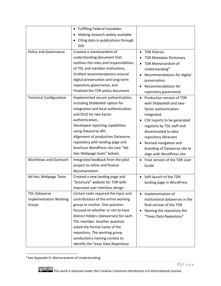|                                | <b>Fulfilling Federal mandates</b><br>$\bullet$                |                                             |
|--------------------------------|----------------------------------------------------------------|---------------------------------------------|
|                                | Making research widely available<br>$\bullet$                  |                                             |
|                                | Citing data in publications through                            |                                             |
|                                | DOI                                                            |                                             |
| Policy and Governance          | Created a memorandum of                                        | <b>TDR Policies</b><br>$\bullet$            |
|                                | understanding document that                                    | <b>TDR Metadata Dictionary</b>              |
|                                | outlines the roles and responsibilities                        | TDR Memorandum of<br>$\bullet$              |
|                                | of TDL and member institutions,                                | Understanding <sup>9</sup>                  |
|                                | Drafted recommendations around                                 |                                             |
|                                | digital preservation and long-term                             | Recommendations for digital<br>preservation |
|                                | repository governance, and                                     | <b>Recommendations for</b>                  |
|                                | Finalized the TDR policy document.                             |                                             |
|                                |                                                                | repository governance                       |
| <b>Technical Configuration</b> | Implemented secure authentication,                             | Production version of TDR<br>$\bullet$      |
|                                | including Shibboleth option for                                | with Shibboleth and two-                    |
|                                | integration and local authentication<br>and DUO for two-factor | factor authentication                       |
|                                |                                                                | integrated                                  |
|                                | authentication,                                                | CSV reports to be generated                 |
|                                | Developed reporting capabilities                               | regularly by TDL staff and                  |
|                                | using Dataverse API,                                           | disseminated to data                        |
|                                | Alignment of production Dataverse                              | repository librarians                       |
|                                | repository with landing page and                               | Revised navigation and                      |
|                                | brochure WordPress site (see "Ad-                              | branding of Dataverse site to               |
|                                | Hoc Webpage team" below).                                      | align with WordPress site                   |
| <b>Workflows and Outreach</b>  | Integrated feedback from the pilot                             | Final version of the TDR User<br>$\bullet$  |
|                                | project to refine and finalize                                 | Guide                                       |
|                                | documentation.                                                 |                                             |
| Ad-Hoc Webpage Team            | Created a new landing page and                                 | Soft launch of the TDR<br>$\bullet$         |
|                                | "brochure" website for TDR with                                | landing page in WordPress                   |
|                                | improved user interface design.                                |                                             |
| <b>TDL Dataverse</b>           | Certain tasks required the input and                           | Implementation of<br>$\bullet$              |
| <b>Implementation Working</b>  | contributions of the entire working                            | institutional dataverses in the             |
| Group                          | group to resolve. One question                                 | final version of the TDR                    |
|                                | focused on whether or not to have                              | Naming the repository the<br>$\bullet$      |
|                                | distinct folders (dataverses) for each                         | "Texas Data Repository"                     |
|                                | TDL member. Another question                                   |                                             |
|                                | asked the formal name of the                                   |                                             |
|                                | repository. The working group                                  |                                             |
|                                | conducted a naming contest to                                  |                                             |
|                                | identify the Texas Data Repository                             |                                             |

 9 See Appendix D: Memorandum of Understanding.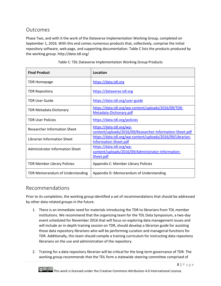# <span id="page-7-0"></span>Outcomes

Phase Two, and with it the work of the Dataverse Implementation Working Group, completed on September 1, 2016. With this end comes numerous products that, collectively, comprise the initial repository software, web page, and supporting documentation. Table C lists the products produced by the working group. http://data.tdl.org/

| <b>Final Product</b>                | Location                                                                                    |
|-------------------------------------|---------------------------------------------------------------------------------------------|
| <b>TDR Homepage</b>                 | https://data.tdl.org                                                                        |
| <b>TDR Repository</b>               | https://dataverse.tdl.org                                                                   |
| <b>TDR User Guide</b>               | https://data.tdl.org/user-guide                                                             |
| TDR Metadata Dictionary             | https://data.tdl.org/wp-content/uploads/2016/09/TDR-<br>Metadata-Dictionary.pdf             |
| <b>TDR User Policies</b>            | https://data.tdl.org/policies                                                               |
| <b>Researcher Information Sheet</b> | https://data.tdl.org/wp-<br>content/uploads/2016/09/Researcher-Information-Sheet.pdf        |
| Librarian Information Sheet         | https://data.tdl.org/wp-content/uploads/2016/09/Librarian-<br>Information-Sheet.pdf         |
| Administrator Information Sheet     | https://data.tdl.org/wp-<br>content/uploads/2016/09/Administrator-Information-<br>Sheet.pdf |
| <b>TDR Member Library Policies</b>  | Appendix C: Member Library Policies                                                         |
| TDR Memorandum of Understanding     | Appendix D: Memorandum of Understanding                                                     |

### Table C: TDL Dataverse Implementation Working Group Products

# <span id="page-7-1"></span>Recommendations

Prior to its completion, the working group identified a set of recommendations that should be addressed by other data-related groups in the future.

- 1. There is an immediate need for materials introducing the TDR to librarians from TDL member institutions. We recommend that the organizing team for the TDL Data Symposium, a two-day event scheduled for November 2016 that will focus on exploring data management issues and will include an in-depth training session on TDR, should develop a librarian guide for assisting those data repository librarians who will be performing curation and managerial functions for TDR. Additionally, this team should compile a training curriculum for instructing data repository librarians on the use and administration of the repository.
- 2. Training for a data repository librarian will be critical for the long-term governance of TDR. The working group recommends that the TDL form a statewide steering committee comprised of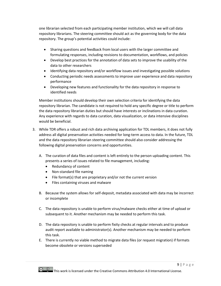one librarian selected from each participating member institution, which we will call data repository librarians. The steering committee should act as the governing body for the data repository. The group's potential activities could include:

- Sharing questions and feedback from local users with the larger committee and formulating responses, including revisions to documentation, workflows, and policies
- Develop best practices for the annotation of data sets to improve the usability of the data to other researchers
- Identifying data repository and/or workflow issues and investigating possible solutions
- Conducting periodic needs assessments to improve user experience and data repository performance
- Developing new features and functionality for the data repository in response to identified needs

Member institutions should develop their own selection criteria for identifying the data repository librarian. The candidate is not required to hold any specific degree or title to perform the data repository librarian duties but should have interests or inclinations in data curation. Any experience with regards to data curation, data visualization, or data intensive disciplines would be beneficial.

- 3. While TDR offers a robust and rich data archiving application for TDL members, it does not fully address all digital preservation activities needed for long-term access to data. In the future, TDL and the data repository librarian steering committee should also consider addressing the following digital preservation concerns and opportunities.
	- A. The curation of data files and content is left entirely to the person uploading content. This presents a series of issues related to file management, including:
		- Redundancy of content
		- Non-standard file naming
		- File format(s) that are proprietary and/or not the current version
		- Files containing viruses and malware
	- B. Because the system allows for self-deposit, metadata associated with data may be incorrect or incomplete
	- C. The data repository is unable to perform virus/malware checks either at time of upload or subsequent to it. Another mechanism may be needed to perform this task.
	- D. The data repository is unable to perform fixity checks at regular intervals and to produce audit report available to administrator(s). Another mechanism may be needed to perform this task.
	- E. There is currently no viable method to migrate data files (or request migration) if formats become obsolete or versions superseded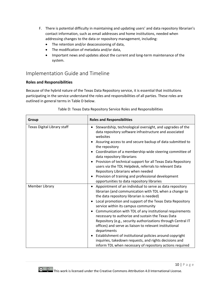- F. There is potential difficulty in maintaining and updating users' and data repository librarian's contact information, such as email addresses and home institutions, needed when addressing changes to the data or repository management, including:
	- The retention and/or deaccessioning of data,
	- The modification of metadata and/or data,
	- Important news and updates about the current and long-term maintenance of the system.

# <span id="page-9-0"></span>Implementation Guide and Timeline

### **Roles and Responsibilities**

Because of the hybrid nature of the Texas Data Repository service, it is essential that institutions participating in the service understand the roles and responsibilities of all parties. These roles are outlined in general terms in Table D below.

| Group                       | <b>Roles and Responsibilities</b>                                                                                                                                                                                                                               |
|-----------------------------|-----------------------------------------------------------------------------------------------------------------------------------------------------------------------------------------------------------------------------------------------------------------|
| Texas Digital Library staff | Stewardship, technological oversight, and upgrades of the<br>data repository software infrastructure and associated<br>websites<br>Assuring access to and secure backup of data submitted to                                                                    |
|                             | the repository<br>Coordination of a membership-wide steering committee of<br>data repository librarians                                                                                                                                                         |
|                             | Provision of technical support for all Texas Data Repository<br>users via the TDL Helpdesk, referrals to relevant Data<br>Repository Librarians when needed<br>Provision of training and professional development<br>opportunities to data repository libraries |
| Member Library              | Appointment of an individual to serve as data repository<br>$\bullet$<br>librarian (and communication with TDL when a change to<br>the data repository librarian is needed)                                                                                     |
|                             | Local promotion and support of the Texas Data Repository<br>service within its campus community                                                                                                                                                                 |
|                             | Communication with TDL of any institutional requirements<br>necessary to authorize and sustain the Texas Data<br>Repository (e.g., security authorizations through Central IT<br>offices) and serve as liaison to relevant institutional<br>departments         |
|                             | Establishment of institutional policies around copyright<br>inquiries, takedown requests, and rights decisions and<br>inform TDL when necessary of repository actions required                                                                                  |

### Table D: Texas Data Repository Service Roles and Responsibilities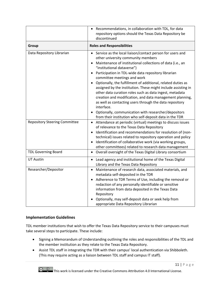|                                      | Recommendations, in collaboration with TDL, for data<br>repository options should the Texas Data Repository be<br>discontinued                                                                                                                                                                                                                                                                                                                                                                                                                                                                                                                                                                                                        |
|--------------------------------------|---------------------------------------------------------------------------------------------------------------------------------------------------------------------------------------------------------------------------------------------------------------------------------------------------------------------------------------------------------------------------------------------------------------------------------------------------------------------------------------------------------------------------------------------------------------------------------------------------------------------------------------------------------------------------------------------------------------------------------------|
| Group                                | <b>Roles and Responsibilities</b>                                                                                                                                                                                                                                                                                                                                                                                                                                                                                                                                                                                                                                                                                                     |
| Data Repository Librarian            | Service as the local liaison/contact person for users and<br>other university community members<br>Maintenance of institutional collections of data (i.e., an<br>"institutional dataverse")<br>Participation in TDL-wide data repository librarian<br>committee meetings and work<br>Optionally, the fulfillment of additional, related duties as<br>assigned by the institution. These might include assisting in<br>other data curation roles such as data ingest, metadata<br>creation and modification, and data management planning,<br>as well as contacting users through the data repository<br>interface.<br>Optionally, communication with researcher/depositors<br>from their institution who self-deposit data in the TDR |
| <b>Repository Steering Committee</b> | Attendance at periodic (virtual) meetings to discuss issues<br>of relevance to the Texas Data Repository<br>Identification and recommendations for resolution of (non-<br>technical) issues related to repository operation and policy<br>Identification of collaborative work (via working groups,<br>other committees) related to research data management                                                                                                                                                                                                                                                                                                                                                                          |
| <b>TDL Governing Board</b>           | Overall oversight of the Texas Digital Library consortium<br>$\bullet$                                                                                                                                                                                                                                                                                                                                                                                                                                                                                                                                                                                                                                                                |
| <b>UT Austin</b>                     | Lead agency and institutional home of the Texas Digital<br>$\bullet$<br>Library and the Texas Data Repository                                                                                                                                                                                                                                                                                                                                                                                                                                                                                                                                                                                                                         |
| Researcher/Depositor                 | • Maintenance of research data, associated materials, and<br>metadata self-deposited in the TDR<br>Adherence to TDR Terms of Use, including the removal or<br>redaction of any personally identifiable or sensitive<br>information from data deposited in the Texas Data<br>Repository<br>Optionally, may self-deposit data or seek help from<br>appropriate Data Repository Librarian                                                                                                                                                                                                                                                                                                                                                |

### **Implementation Guidelines**

TDL member institutions that wish to offer the Texas Data Repository service to their campuses must take several steps to participate. These include:

- Signing a Memorandum of Understanding outlining the roles and responsibilities of the TDL and the member institution as they relate to the Texas Data Repository.
- Assist TDL staff in integrating the TDR with their campus' local authentication via Shibboleth. (This may require acting as a liaison between TDL staff and campus IT staff).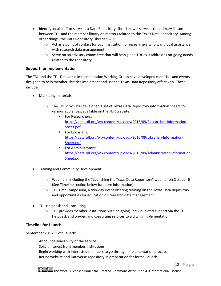- Identify local staff to serve as a Data Repository Librarian, will serve as the primary liaison between TDL and the member library on matters related to the Texas Data Repository. Among other things, the Data Repository Librarian will:
	- $\circ$  Act as a point of contact for your institution for researchers who want local assistance with research data management
	- $\circ$  Serve on an advisory committee that will help guide TDL as it addresses on-going needs related to the repository

### **Support for Implementation**

The TDL and the TDL Dataverse Implementation Working Group have developed materials and events designed to help member libraries implement and use the Texas Data Repository effectively. These include:

- Marketing materials:
	- $\circ$  The TDL DIWG has developed a set of Texas Data Repository information sheets for various audiences, available on the TDR website.
		- **For Researchers:** [https://data.tdl.org/wp-content/uploads/2016/09/Researcher-Information-](https://data.tdl.org/wp-content/uploads/2016/09/Researcher-Information-Sheet.pdf)[Sheet.pdf](https://data.tdl.org/wp-content/uploads/2016/09/Researcher-Information-Sheet.pdf)
		- **For Librarians:** [https://data.tdl.org/wp-content/uploads/2016/09/Librarian-Information-](https://data.tdl.org/wp-content/uploads/2016/09/Librarian-Information-Sheet.pdf)[Sheet.pdf](https://data.tdl.org/wp-content/uploads/2016/09/Librarian-Information-Sheet.pdf)
		- **For Administrators:** [https://data.tdl.org/wp-content/uploads/2016/09/Administrator-Information-](https://data.tdl.org/wp-content/uploads/2016/09/Administrator-Information-Sheet.pdf)[Sheet.pdf](https://data.tdl.org/wp-content/uploads/2016/09/Administrator-Information-Sheet.pdf)
- Training and Community Development
	- $\circ$  Webinars, including the "Launching the Texas Data Repository" webinar on October 6 (See Timeline section below for more information)
	- $\circ$  TDL Data Symposium, a two-day event offering training on the Texas Data Repository and opportunities for education on research data management
- TDL Helpdesk and Consulting
	- $\circ$  TDL provides member institutions with on-going, individualized support via the TDL Helpdesk and on-demand consulting services to aid with implementation

### **Timeline for Launch**

September 2016: "Soft Launch"

Announce availability of the service Solicit interest from member institutions Begin working with interested members to go through implementation process Refine website and Dataverse repository in preparation for formal launch

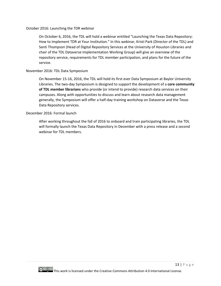October 2016: Launching the TDR webinar

On October 6, 2016, the TDL will hold a webinar entitled "Launching the Texas Data Repository: How to Implement TDR at Your Institution." In this webinar, Kristi Park (Director of the TDL) and Santi Thompson (Head of Digital Repository Services at the University of Houston Libraries and chair of the TDL Dataverse Implementation Working Group) will give an overview of the repository service, requirements for TDL member participation, and plans for the future of the service.

#### November 2016: TDL Data Symposium

On November 15-16, 2016, the TDL will hold its first ever Data Symposium at Baylor University Libraries. The two-day Symposium is designed to support the development of a **core community of TDL member librarians** who provide (or intend to provide) research data services on their campuses. Along with opportunities to discuss and learn about research data management generally, the Symposium will offer a half-day training workshop on Dataverse and the Texas Data Repository services.

#### December 2016: Formal launch

After working throughout the fall of 2016 to onboard and train participating libraries, the TDL will formally launch the Texas Data Repository in December with a press release and a second webinar for TDL members.

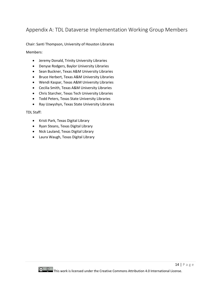# <span id="page-13-0"></span>Appendix A: TDL Dataverse Implementation Working Group Members

Chair: Santi Thompson, University of Houston Libraries

Members:

- **•** Jeremy Donald, Trinity University Libraries
- Denyse Rodgers, Baylor University Libraries
- Sean Buckner, Texas A&M University Libraries
- Bruce Herbert, Texas A&M University Libraries
- Wendi Kaspar, Texas A&M University Libraries
- Cecilia Smith, Texas A&M University Libraries
- Chris Starcher, Texas Tech University Libraries
- Todd Peters, Texas State University Libraries
- Ray Uzwyshyn, Texas State University Libraries

TDL Staff:

- Kristi Park, Texas Digital Library
- Ryan Steans, Texas Digital Library
- Nick Lauland, Texas Digital Library
- Laura Waugh, Texas Digital Library

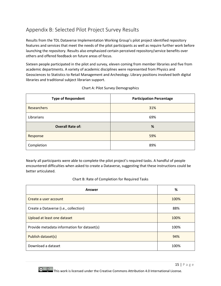# <span id="page-14-0"></span>Appendix B: Selected Pilot Project Survey Results

Results from the TDL Dataverse Implementation Working Group's pilot project identified repository features and services that meet the needs of the pilot participants as well as require further work before launching the repository. Results also emphasized certain perceived repository/service benefits over others and offered feedback on future areas of focus.

Sixteen people participated in the pilot and survey, eleven coming from member libraries and five from academic departments. A variety of academic disciplines were represented from Physics and Geosciences to Statistics to Retail Management and Archeology. Library positions involved both digital libraries and traditional subject librarian support.

| <b>Type of Respondent</b> | <b>Participation Percentage</b> |
|---------------------------|---------------------------------|
| Researchers               | 31%                             |
| Librarians                | 69%                             |
| <b>Overall Rate of:</b>   | %                               |
| Response                  | 59%                             |
| Completion                | 89%                             |

### Chart A: Pilot Survey Demographics

Nearly all participants were able to complete the pilot project's required tasks. A handful of people encountered difficulties when asked to create a Dataverse, suggesting that these instructions could be better articulated.

### Chart B: Rate of Completion for Required Tasks

| Answer                                      | %    |
|---------------------------------------------|------|
| Create a user account                       | 100% |
| Create a Dataverse (i.e., collection)       | 88%  |
| Upload at least one dataset                 | 100% |
| Provide metadata information for dataset(s) | 100% |
| Publish dataset(s)                          | 94%  |
| Download a dataset                          | 100% |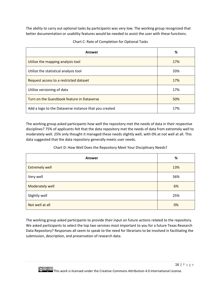The ability to carry out optional tasks by participants was very low. The working group recognized that better documentation or usability features would be needed to assist the user with these functions.

| <b>Answer</b>                                         | ℅   |
|-------------------------------------------------------|-----|
| Utilize the mapping analysis tool                     | 17% |
| Utilize the statistical analysis tool                 | 33% |
| Request access to a restricted dataset                | 17% |
| Utilize versioning of data                            | 17% |
| Turn on the Guestbook feature in Dataverse            | 50% |
| Add a logo to the Dataverse instance that you created | 17% |

Chart C: Rate of Completion for Optional Tasks

The working group asked participants how well the repository met the needs of data in their respective disciplines? 75% of applicants felt that the data repository met the needs of data from extremely well to moderately well. 25% only thought it managed these needs slightly well, with 0% at not well at all. This data suggested that the data repository generally meets user needs.

### Chart D: How Well Does the Repository Meet Your Disciplinary Needs?

| Answer                | %   |
|-----------------------|-----|
| <b>Extremely well</b> | 13% |
| Very well             | 56% |
| Moderately well       | 6%  |
| Slightly well         | 25% |
| Not well at all       | 0%  |

The working group asked participants to provide their input on future actions related to the repository. We asked participants to select the top two services most important to you for a future Texas Research Data Repository? Responses all seem to speak to the need for librarians to be involved in facilitating the submission, description, and preservation of research data.

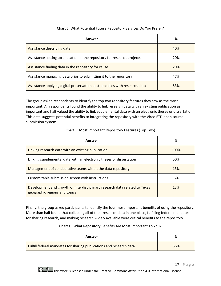| Answer                                                                     | %   |
|----------------------------------------------------------------------------|-----|
| Assistance describing data                                                 | 40% |
| Assistance setting up a location in the repository for research projects   | 20% |
| Assistance finding data in the repository for reuse                        | 20% |
| Assistance managing data prior to submitting it to the repository          | 47% |
| Assistance applying digital preservation best practices with research data | 53% |

The group asked respondents to identify the top two repository features they saw as the most important. All respondents found the ability to link research data with an existing publication as important and half valued the ability to link supplemental data with an electronic theses or dissertation. This data suggests potential benefits to integrating the repository with the Vireo ETD open source submission system.

### Chart F: Most Important Repository Features (Top Two)

| Answer                                                                                                      | ℅    |
|-------------------------------------------------------------------------------------------------------------|------|
| Linking research data with an existing publication                                                          | 100% |
| Linking supplemental data with an electronic theses or dissertation                                         | 50%  |
| Management of collaborative teams within the data repository                                                | 13%  |
| Customizable submission screen with instructions                                                            | 6%   |
| Development and growth of interdisciplinary research data related to Texas<br>geographic regions and topics | 13%  |

Finally, the group asked participants to identify the four most important benefits of using the repository. More than half found that collecting all of their research data in one place, fulfilling federal mandates for sharing research, and making research widely available were critical benefits to the repository.

### Chart G: What Repository Benefits Are Most Important To You?

| Answer                                                              | %   |
|---------------------------------------------------------------------|-----|
| Fulfill federal mandates for sharing publications and research data | 56% |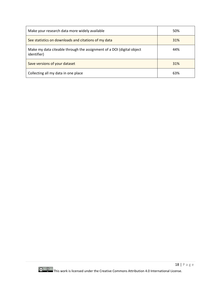| Make your research data more widely available                                        | 50% |  |
|--------------------------------------------------------------------------------------|-----|--|
| See statistics on downloads and citations of my data                                 | 31% |  |
| Make my data citeable through the assignment of a DOI (digital object<br>identifier) | 44% |  |
| Save versions of your dataset                                                        | 31% |  |
| Collecting all my data in one place                                                  | 63% |  |

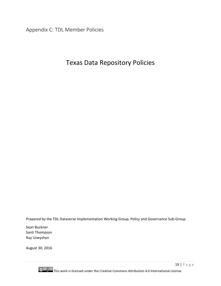<span id="page-18-0"></span>Appendix C: TDL Member Policies

# Texas Data Repository Policies

Prepared by the TDL Dataverse Implementation Working Group, Policy and Governance Sub-Group

Sean Buckner Santi Thompson Ray Uzwyshyn

August 30, 2016

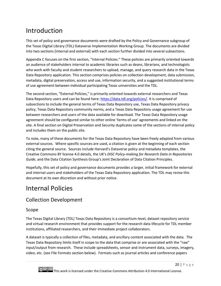# Introduction

This set of policy and governance documents were drafted by the Policy and Governance subgroup of the Texas Digital Library (TDL) Dataverse Implementation Working Group. The documents are divided into two sections (internal and external) with each section further divided into several subsections.

Appendix C focuses on the first section, "Internal Policies." These policies are primarily oriented towards an audience of stakeholders internal to academic libraries such as deans, librarians, and technologists who work with faculty and student researchers to upload, manage, and query research data in the Texas Data Repository application. This section comprises policies on collection development, data submission, metadata, digital preservation, access and use, information security, and a suggested institutional terms of use agreement between individual participating Texas universities and the TDL.

The second section, "External Policies," is primarily oriented towards external researchers and Texas Data Repository users and can be found here[: https://data.tdl.org/policies/.](https://data.tdl.org/policies/) It is comprised of subsections to include the general terms of Texas Data Repository use, Texas Data Repository privacy policy, Texas Data Repository community norms, and a Texas Data Repository usage agreement for use between researchers and users of the data available for download. The Texas Data Repository usage agreement should be configured similar to other online 'terms of use' agreements and linked on the site. A final section on Digital Preservation and Security duplicates some of the sections of internal policy and includes them on the public site.

To note, many of these documents for the Texas Data Repository have been freely adapted from various external sources. Where specific sources are used, a citation is given at the beginning of each section citing the general source. Sources include Harvard's Dataverse policy and metadata templates, the Creative Commons BY license 4.0 details, the UK's *DISC Policy-making for Research Data in Repositories Guide*, and the Data Citation Synthesis Group's Joint Declaration of Data Citation Principles.

Hopefully, this set of policy and governance documents provides a larger, initial framework for external and internal users and stakeholders of the Texas Data Repository application. The TDL may revise this document at its own discretion and without prior notice.

# Internal Policies

# Collection Development

# Scope

The Texas Digital Library (TDL) Texas Data Repository is a consortium-level, dataset repository service and virtual research environment that provides support for the research data lifecycle for TDL member institutions, affiliated researchers, and their immediate project collaborators.

A dataset is typically a collection of files, metadata, and ancillary content associated with the data. The Texas Data Repository limits itself in scope to the data that comprise or are associated with the "raw" input/output from research. These include spreadsheets, sensor and instrument data, surveys, imagery, video, etc. (see File Formats section below). Formats such as journal articles and conference papers

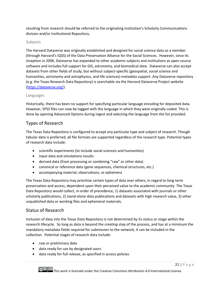resulting from research should be referred to the originating institution's Scholarly Communications division and/or Institutional Repository.

### Subjects

The Harvard Dataverse was originally established and designed for social science data as a member (through Harvard's IQSS) of the Data Preservation Alliance for the Social Sciences. However, since its inception in 2006, Dataverse has expanded to other academic subjects and institutions as open source software and includes full support for GIS, astronomy, and biomedical data. Dataverse can also accept datasets from other fields of study, but without subject-specific (geospatial, social science and humanities, astronomy and astrophysics, and life sciences) metadata support. Any Dataverse repository (e.g. the Texas Research Data Repository) is searchable via the Harvard Dataverse Project website [\(https://dataverse.org/\)](https://dataverse.org/).

### Languages

Historically, there has been no support for specifying particular language encoding for deposited data. However, SPSS files can now be tagged with the language in which they were originally coded. This is done by opening Advanced Options during ingest and selecting the language from the list provided.

# Types of Research

The Texas Data Repository is configured to accept any particular type and subject of research. Though tabular data is preferred, all file formats are supported regardless of the research type. Potential types of research data include:

- scientific experiments (to include social sciences and humanities)
- input data and simulations results
- derived data (from processing or combining "raw" or other data)
- canonical or reference data (gene sequences, chemical structures, etc.)
- accompanying material, observations, or ephemera

The Texas Data Repository may prioritize certain types of data over others, in regard to long-term preservation and access, dependent upon their perceived value to the academic community. The Texas Data Repository would collect, in order of precedence, 1) datasets associated with journals or other scholarly publications, 2) stand-alone data publications and datasets with high research value, 3) other unpublished data or working files and ephemeral materials.

### Status of Research

Inclusion of data into the Texas Data Repository is not determined by its status or stage within the research lifecycle. So long as data is beyond the *creating* step of the process, and has at a minimum the mandatory metadata fields required for submission to the network, it can be included in the collection. Potential stages of research data include:

- raw or preliminary data
- data ready for use by designated users
- data ready for full release, as specified in access policies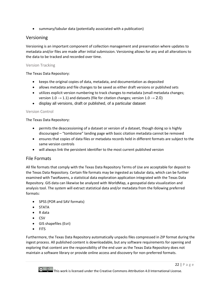summary/tabular data (potentially associated with a publication)

### Versioning

Versioning is an important component of collection management and preservation where updates to metadata and/or files are made after initial submission. Versioning allows for any and all alterations to the data to be tracked and recorded over time.

### Version Tracking

The Texas Data Repository:

- keeps the original copies of data, metadata, and documentation as deposited
- allows metadata and file changes to be saved as either draft versions or published sets
- utilizes explicit version numbering to track changes to metadata (small metadata changes; version 1.0  $\rightarrow$  1.1) and datasets (file for citation changes; version 1.0  $\rightarrow$  2.0)
- display all versions, draft or published, of a particular dataset

### Version Control

The Texas Data Repository:

- permits the deaccessioning of a dataset or version of a dataset, though doing so is highly discouraged – "tombstone" landing page with basic citation metadata cannot be removed
- ensures that copies of data files or metadata records held in different formats are subject to the same version controls
- will always link the persistent identifier to the most current published version

### File Formats

All file formats that comply with the Texas Data Repository Terms of Use are acceptable for deposit to the Texas Data Repository. Certain file formats may be ingested as tabular data, which can be further examined with TwoRavens, a statistical data exploration application integrated with the Texas Data Repository. GIS data can likewise be analyzed with WorldMap, a geospatial data visualization and analysis tool. The system will extract statistical data and/or metadata from the following preferred formats:

- SPSS (POR and SAV formats)
- STATA
- R data
- CSV
- GIS shapefiles (Esri)
- FITS

Furthermore, the Texas Data Repository automatically unpacks files compressed in ZIP format during the ingest process. All published content is downloadable, but any software requirements for opening and exploring that content are the responsibility of the end user as the Texas Data Repository does not maintain a software library or provide online access and discovery for non-preferred formats.

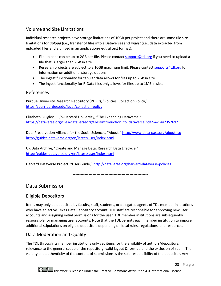# Volume and Size Limitations

Individual research projects have storage limitations of 10GB per project and there are some file size limitations for *upload* (i.e., transfer of files into a Dataverse) and *ingest* (i.e., data extracted from uploaded files and archived in an application-neutral text format).

- File uploads can be up to 2GB per file. Please contac[t support@tdl.org](mailto:support@tdl.org) if you need to upload a file that is larger than 2GB in size.
- **•** Research projects are subject to a 10GB maximum limit. Please contac[t support@tdl.org](mailto:support@tdl.org) for information on additional storage options.
- The ingest functionality for tabular data allows for files up to 2GB in size.
- The ingest functionality for R-Data files only allows for files up to 1MB in size.

# References

Purdue University Research Repository (PURR), "Policies: Collection Policy," <https://purr.purdue.edu/legal/collection-policy>

Elizabeth Quigley, IQSS-Harvard University, "The Expanding Dataverse," [https://dataverse.org/files/dataverseorg/files/introduction\\_to\\_dataverse.pdf?m=1447352697](https://dataverse.org/files/dataverseorg/files/introduction_to_dataverse.pdf?m=1447352697)

Data Preservation Alliance for the Social Sciences, "About," <http://www.data-pass.org/about.jsp> <http://guides.dataverse.org/en/latest/user/index.html>

UK Data Archive, "Create and Manage Data: Research Data Lifecycle," <http://guides.dataverse.org/en/latest/user/index.html>

Harvard Dataverse Project, "User Guide," <http://dataverse.org/harvard-dataverse-policies>

---------------------------------------------------------

# Data Submission

# Eligible Depositors

Items may only be deposited by faculty, staff, students, or delegated agents of TDL member institutions who have an active Texas Data Repository account. TDL staff are responsible for approving new user accounts and assigning initial permissions for the user. TDL member institutions are subsequently responsible for managing user accounts. Note that the TDL permits each member institution to impose additional stipulations on eligible depositors depending on local rules, regulations, and resources.

# Data Moderation and Quality

The TDL through its member institutions only vet items for the eligibility of authors/depositors, relevance to the general scope of the repository, valid layout & format, and the exclusion of spam. The validity and authenticity of the content of submissions is the sole responsibility of the depositor. Any

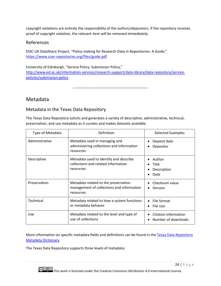copyright violations are entirely the responsibility of the authors/depositors. If the repository receives proof of copyright violation, the relevant item will be removed immediately.

### References

DISC-UK DataShare Project, "Policy-making for Research Data in Repositories: A Guide," <https://www.coar-repositories.org/files/guide.pdf>

University of Edinburgh, "Service Policy: Submission Policy," [http://www.ed.ac.uk/information-services/research-support/data-library/data-repository/service](http://www.ed.ac.uk/information-services/research-support/data-library/data-repository/service-policies/submission-policy)[policies/submission-policy](http://www.ed.ac.uk/information-services/research-support/data-library/data-repository/service-policies/submission-policy)

---------------------------------------------------------

# Metadata

### Metadata in the Texas Data Repository

The Texas Data Repository solicits and generates a variety of descriptive, administrative, technical, preservation, and use metadata as it curates and makes datasets available.

| Type of Metadata | Definition                                                                                     | Selected Examples                                   |
|------------------|------------------------------------------------------------------------------------------------|-----------------------------------------------------|
| Administrative   | Metadata used in managing and<br>administering collections and information<br>resources        | Deposit date<br>$\bullet$<br>Depositor<br>$\bullet$ |
| Descriptive      | Metadata used to identify and describe<br>collections and related information<br>resources     | Author<br>Title<br>Description<br>Date              |
| Preservation     | Metadata related to the preservation<br>management of collections and information<br>resources | Checksum value<br>$\bullet$<br>Version<br>$\bullet$ |
| Technical        | Metadata related to how a system functions<br>or metadata behaves                              | File format<br>File size<br>$\bullet$               |
| Use              | Metadata related to the level and type of<br>use of collections                                | Citation information<br>Number of downloads         |

More information on specific metadata fields and definitions can be found in the [Texas Data](http://data.tdl.org/wp-content/uploads/2016/09/TDR-Metadata-Dictionary.pdf) Repository [Metadata Dictionary.](http://data.tdl.org/wp-content/uploads/2016/09/TDR-Metadata-Dictionary.pdf)

The Texas Data Repository supports three levels of metadata:

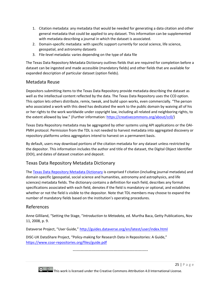- 1. Citation metadata: any metadata that would be needed for generating a data citation and other general metadata that could be applied to any dataset. This information can be supplemented with metadata describing a journal in which the dataset is associated.
- 2. Domain-specific metadata: with specific support currently for social science, life science, geospatial, and astronomy datasets
- 3. File-level metadata: varies depending on the type of data file

The Texas Data Repository Metadata Dictionary outlines fields that are required for completion before a dataset can be ingested and made accessible (mandatory fields) and other fields that are available for expanded description of particular dataset (option fields).

# Metadata Reuse

Depositors submitting items to the Texas Data Repository provide metadata describing the dataset as well as the intellectual content reflected by the data. The Texas Data Repository uses the CC0 option. This option lets others distribute, remix, tweak, and build upon works, even commercially. "The person who associated a work with this deed has dedicated the work to the public domain by waiving all of his or her rights to the work worldwide under copyright law, including all related and neighboring rights, to the extent allowed by law." (Further information: [https://creativecommons.org/about/cc0/\)](https://creativecommons.org/about/cc0/)

Texas Data Repository metadata may be aggregated by other systems using API applications or the OAI-PMH protocol. Permission from the TDL is not needed to harvest metadata into aggregated discovery or repository platforms unless aggregators intend to harvest on a permanent basis.

By default, users may download portions of the citation metadata for any dataset unless restricted by the depositor. This information includes the author and title of the dataset, the Digital Object Identifier (DOI), and dates of dataset creation and deposit.

# Texas Data Repository Metadata Dictionary

The [Texas Data Repository Metadata Dictionary](http://data.tdl.org/wp-content/uploads/2016/09/TDR-Metadata-Dictionary.pdf) is comprised f citation (including journal metadata) and domain specific (geospatial, social science and humanities, astronomy and astrophysics, and life sciences) metadata fields. The dictionary contains a definition for each field, describes any format specifications associated with each field, denotes if the field is mandatory or optional, and establishes whether or not the field is visible to the depositor. Note that TDL members may choose to expand the number of mandatory fields based on the institution's operating procedures.

### References

Anne Gilliland, "Setting the Stage, "*Introduction to Metadata,* ed. Murtha Baca, Getty Publications, Nov 11, 2008, p. 9.

Dataverse Project, "User Guide," <http://guides.dataverse.org/en/latest/user/index.html>

DISC-UK DataShare Project, "Policy-making for Research Data in Repositories: A Guide," <https://www.coar-repositories.org/files/guide.pdf>

---------------------------------------------------------

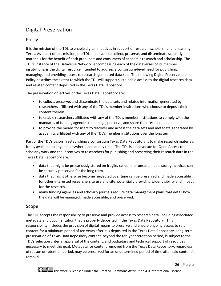# Digital Preservation

# Policy

It is the mission of the TDL to enable digital initiatives in support of research, scholarship, and learning in Texas. As a part of this mission, the TDL endeavors to collect, preserve, and disseminate scholarly materials for the benefit of both producers and consumers of academic research and scholarship. The TDL's instance of the Dataverse Network, encompassing each of the dataverses of its member institutions, is the digital resource intended to address a consortium-level need for publishing, managing, and providing access to research-generated data sets. The following Digital Preservation Policy describes the extent to which the TDL will support sustainable access to the digital research data and related content deposited in the Texas Data Repository.

The preservation objectives of the Texas Data Repository are:

- to collect, preserve, and disseminate the data sets and related information generated by researchers affiliated with any of the TDL's member institutions who choose to deposit their content therein.
- to enable researchers affiliated with any of the TDL's member institutions to comply with the mandates of funding agencies to manage, preserve, and share their research data.
- to provide the means for users to discover and access the data sets and metadata generated by academics affiliated with any of the TDL's member institutions over the long term.

Part of the TDL's vision in establishing a consortium Texas Data Repository is to make research materials freely available to anyone, anywhere, and at any time. The TDL is an advocate for Open Access to scholarly work and the incentives to researchers for publishing and preserving their research data in the Texas Data Repository are:

- data that might be precariously stored on fragile, random, or unsustainable storage devices can be securely preserved for the long term.
- data that might otherwise become neglected over time can be preserved and made accessible for other interested researchers to use and cite, potentially providing wider visibility and impact for the research.
- many funding agencies and scholarly journals require data management plans that detail how the data will be managed, made accessible, and preserved.

### Scope

The TDL accepts the responsibility to preserve and provide access to research data, including associated metadata and documentation that is properly deposited in the Texas Data Repository. This responsibility includes the provision of digital means to preserve and ensure ongoing access to said content for a minimum period of ten years after it is deposited in the Texas Data Repository. Long-term preservation of Texas Data Repository content, beyond the ten-year retention period, is subject to the TDL's selection criteria, appraisal of the content, and budgetary and technical support of resources necessary to meet this goal. Metadata for content removed from the Texas Data Repository, regardless of reason or retention period, may be preserved for an undetermined period of time after said content's removal.

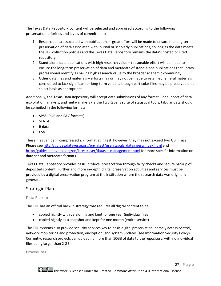The Texas Data Repository content will be selected and appraised according to the following preservation priorities and levels of commitment:

- 1. Research data associated with publications great effort will be made to ensure the long-term preservation of data associated with journal or scholarly publications, so long as the data meets the TDL collection policies and the Texas Data Repository remains the data's hosted or cited repository.
- 2. Stand-alone data publications with high research value reasonable effort will be made to ensure the long-term preservation of data and metadata of stand-alone publications that library professionals identify as having high research value to the broader academic community.
- 3. Other data files and materials efforts may or may not be made to retain ephemeral materials considered to lack significant or long-term value, although particular files may be preserved on a select basis as appropriate.

Additionally, the Texas Data Repository will accept data submissions of any format. For support of data exploration, analysis, and meta-analysis via the TwoRavens suite of statistical tools, tabular data should be compiled in the following formats:

- SPSS (POR and SAV formats)
- STATA
- R data
- CSV

These files can be in compressed ZIP format at ingest, however, they may not exceed two GB in size. Please see<http://guides.dataverse.org/en/latest/user/tabulardataingest/index.html> and <http://guides.dataverse.org/en/latest/user/dataset-management.html> for more specific information on data set and metadata formats.

Texas Data Repository provides basic, bit-level preservation through fixity checks and secure backup of deposited content. Further and more in-depth digital preservation activities and services must be provided by a digital preservation program at the institution where the research data was originally generated.

# Strategic Plan

### Data Backup

The TDL has an official backup strategy that requires all digital content to be:

- copied nightly with versioning and kept for one year (individual files)
- copied nightly as a snapshot and kept for one month (entire service)

The TDL systems also provide security services key to basic digital preservation, namely access control, network monitoring and protection, encryption, and system updates (see Information Security Policy). Currently, research projects can upload no more than 10GB of data to the repository, with no individual files being larger than 2 GB.

#### Procedures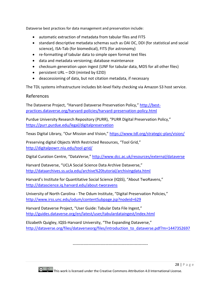Dataverse best practices for data management and preservation include:

- automatic extraction of metadata from tabular files and FITS
- standard descriptive metadata schemas such as OAI DC, DDI (for statistical and social science), ISA-Tab (for biomedical), FITS (for astronomy)
- re-formatting of tabular data to simple open format text files
- data and metadata versioning; database maintenance
- checksum generation upon ingest (UNF for tabular data, MD5 for all other files)
- persistent URL DOI (minted by EZID)
- deaccessioning of data, but not citation metadata, if necessary

The TDL systems infrastructure includes bit-level fixity checking via Amazon S3 host service.

### References

The Dataverse Project, "Harvard Dataverse Preservation Policy," [http://best](http://best-practices.dataverse.org/harvard-policies/harvard-preservation-policy.html)[practices.dataverse.org/harvard-policies/harvard-preservation-policy.html](http://best-practices.dataverse.org/harvard-policies/harvard-preservation-policy.html)

Purdue University Research Repository (PURR), "PURR Digital Preservation Policy," <https://purr.purdue.edu/legal/digitalpreservation>

Texas Digital Library, "Our Mission and Vision," <https://www.tdl.org/strategic-plan/vision/>

Preserving digital Objects With Restricted Resources, "Tool Grid," <http://digitalpowrr.niu.edu/tool-grid/>

Digital Curation Centre, "DataVerse," <http://www.dcc.ac.uk/resources/external/dataverse>

Harvard Dataverse, "UCLA Social Science Data Archive Dataverse," <http://dataarchives.ss.ucla.edu/archive%20tutorial/archivingdata.html>

Harvard's Institute for Quantitative Social Science (IQSS), "About TwoRavens," <http://datascience.iq.harvard.edu/about-tworavens>

University of North Carolina - The Odum Institute, "Digital Preservation Policies," <http://www.irss.unc.edu/odum/contentSubpage.jsp?nodeid=629>

Harvard Dataverse Project, "User Guide: Tabular Data File Ingest," <http://guides.dataverse.org/en/latest/user/tabulardataingest/index.html>

Elizabeth Quigley, IQSS-Harvard University, "The Expanding Dataverse," [http://dataverse.org/files/dataverseorg/files/introduction\\_to\\_dataverse.pdf?m=1447352697](http://dataverse.org/files/dataverseorg/files/introduction_to_dataverse.pdf?m=1447352697)

---------------------------------------------------------

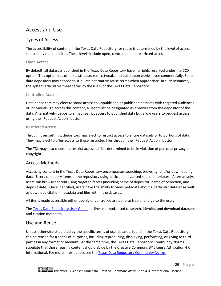# Access and Use

### Types of Access

The accessibility of content in the Texas Data Repository for reuse is determined by the level of access selected by the depositor. These levels include open, controlled, and restricted access.

#### Open Access

By default, all datasets published in the Texas Data Repository have no rights reserved under the CC0 option. This option lets others distribute, remix, tweak, and build upon works, even commercially. Some data depositors may choose to stipulate alternative reuse terms when appropriate. In such instances, the system articulates these terms to the users of the Texas Data Repository.

### Controlled Access

Data depositors may elect to share access to unpublished or published datasets with targeted audiences or individuals. To access this content, a user must be designated as a viewer from the depositor of the data. Alternatively, depositors may restrict access to published data but allow users to request access using the "Request Action" button.

#### Restricted Access

Through user settings, depositors may elect to restrict access to entire datasets or to portions of data. They may elect to offer access to these restricted files through the "Request Action" button.

The TDL may also choose to restrict access to files determined to be in violation of personal privacy or copyright.

### Access Methods

Accessing content in the Texas Data Repository encompasses searching, browsing, and/or downloading data. Users can query items in the repository using basic and advanced search interfaces. Alternatively, users can browse content using targeted facets (including name of depositor, name of collection, and deposit date). Once identified, users have the ability to view metadata about a particular dataset as well as download citation metadata and files within the dataset.

All items made accessible either openly or controlled are done so free of charge to the user.

The [Texas Data Repository User Guide](http://data.tdl.org/user-guide/) outlines methods used to search, identify, and download datasets and citation metadata.

### Use and Reuse

Unless otherwise stipulated by the specific terms of use, datasets found in the Texas Data Repository can be reused for a series of purposes, including reproducing, displaying, performing, or giving to third parties in any format or medium. At the same time, the Texas Data Repository Community Norms stipulate that those reusing content should abide by the Creative Commons BY License Attribution 4.0 International. For more information, see the [Texas Data Repository Community Norms.](https://data.tdl.org/policies/#community-norms)

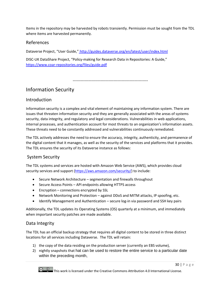Items in the repository may be harvested by robots transiently. Permission must be sought from the TDL where items are harvested permanently.

### References

Dataverse Project, "User Guide," <http://guides.dataverse.org/en/latest/user/index.html>

DISC-UK DataShare Project, "Policy-making for Research Data in Repositories: A Guide,["](https://www.coar-repositories.org/files/guide.pdf) <https://www.coar-repositories.org/files/guide.pdf>

---------------------------------------------------------

# Information Security

# Introduction

Information security is a complex and vital element of maintaining any information system. There are issues that threaten information security and they are generally associated with the areas of systems security, data integrity, and regulatory and legal considerations. Vulnerabilities in web applications, internal processes, and authentication account for most threats to an organization's information assets. These threats need to be constantly addressed and vulnerabilities continuously remediated.

The TDL actively addresses the need to ensure the accuracy, integrity, authenticity, and permanence of the digital content that it manages, as well as the security of the services and platforms that it provides. The TDL ensures the security of its Dataverse instance as follows:

# System Security

The TDL systems and services are hosted with Amazon Web Service (AWS), which provides cloud security services and support [\(https://aws.amazon.com/security/\)](https://aws.amazon.com/security/) to include:

- Secure Network Architecture segmentation and firewalls throughout
- Secure Access Points API endpoints allowing HTTPS access
- Encryption connections encrypted by SSL
- Network Monitoring and Protection against DDoS and MITM attacks, IP spoofing, etc.
- Identify Management and Authentication secure log-in via password and SSH key pairs

Additionally, the TDL updates its Operating Systems (OS) quarterly at a minimum, and immediately when important security patches are made available.

# Data Integrity

The TDL has an official backup strategy that requires all digital content to be stored in three distinct locations for all services including Dataverse. The TDL will retain:

- 1) the copy of the data residing on the production server (currently an EBS volume),
- 2) nightly snapshots that hat can be used to restore the entire service to a particular date within the preceding month,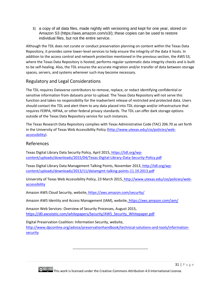3) a copy of all data files, made nightly with versioning and kept for one year, stored on Amazon S3 (https://aws.amazon.com/s3/); these copies can be used to restore individual files, but not the entire service.

Although the TDL does not curate or conduct preservation planning on content within the Texas Data Repository, it provides some lower-level services to help ensure the integrity of the data it hosts. In addition to the access control and network protection mentioned in the previous section, the AWS S3, where the Texas Data Repository is hosted, performs regular systematic data integrity checks and is built to be self-healing. Also, the TDL ensures the accurate migration and/or transfer of data between storage spaces, servers, and systems wherever such may become necessary.

# Regulatory and Legal Considerations

The TDL requires Dataverse contributors to remove, replace, or redact identifying confidential or sensitive information from datasets prior to upload. The Texas Data Repository will not serve this function and takes no responsibility for the inadvertent release of restricted and protected data. Users should contact the TDL and alert them to any data placed into TDL storage and/or infrastructure that requires FERPA, HIPAA, or other federal privacy standards. The TDL can offer dark storage options outside of the Texas Data Repository service for such instances.

The Texas Research Data Repository complies with Texas Administrative Code (TAC) 206.70 as set forth in the University of Texas Web Accessibility Policy [\(http://www.utexas.edu/cio/policies/web](http://www.utexas.edu/cio/policies/web-accessibility)[accessibility\)](http://www.utexas.edu/cio/policies/web-accessibility).

### References

Texas Digital Library Data Security Policy, April 2015, [https://tdl.org/wp](https://tdl.org/wp-content/uploads/downloads/2015/04/Texas-Digital-Library-Data-Security-Policy.pdf)[content/uploads/downloads/2015/04/Texas-Digital-Library-Data-Security-Policy.pdf](https://tdl.org/wp-content/uploads/downloads/2015/04/Texas-Digital-Library-Data-Security-Policy.pdf)

Texas Digital Library Data Management Talking Points, November 2013, [http://tdl.org/wp](http://tdl.org/wp-content/uploads/downloads/2013/11/datamgmt-talking-points-11.19.2013.pdf)[content/uploads/downloads/2013/11/datamgmt-talking-points-11.19.2013.pdf](http://tdl.org/wp-content/uploads/downloads/2013/11/datamgmt-talking-points-11.19.2013.pdf)

University of Texas Web Accessibility Policy, 23 March 2015, [http://www.utexas.edu/cio/policies/web](http://www.utexas.edu/cio/policies/web-accessibility)**[accessibility](http://www.utexas.edu/cio/policies/web-accessibility)** 

Amazon AWS Cloud Security, website, <https://aws.amazon.com/security/>

Amazon AWS Identity and Access Management (IAM), website, <https://aws.amazon.com/iam/>

Amazon Web Services: Overview of Security Processes, August 201[5,](https://d0.awsstatic.com/whitepapers/Security/AWS_Security_Whitepaper.pdf) [https://d0.awsstatic.com/whitepapers/Security/AWS\\_Security\\_Whitepaper.pdf](https://d0.awsstatic.com/whitepapers/Security/AWS_Security_Whitepaper.pdf)

Digital Preservation Coalition: Information Security, website[,](http://www.dpconline.org/advice/preservationhandbook/technical-solutions-and-tools/information-security) [http://www.dpconline.org/advice/preservationhandbook/technical-solutions-and-tools/information](http://www.dpconline.org/advice/preservationhandbook/technical-solutions-and-tools/information-security)[security](http://www.dpconline.org/advice/preservationhandbook/technical-solutions-and-tools/information-security)

---------------------------------------------------------

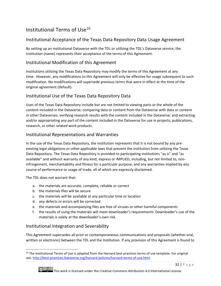# Institutional Terms of Use<sup>10</sup>

# Institutional Acceptance of the Texas Data Repository Data Usage Agreement

By setting up an institutional Dataverse with the TDL or utilizing the TDL's Dataverse service, the Institution (name) represents their acceptance of the terms of this Agreement.

# Institutional Modification of this Agreement

Institutions utilizing the Texas Data Repository may modify the terms of this Agreement at any time. However, any modifications to this Agreement will only be effective for usage subsequent to such modification. No modifications will supersede previous terms that were in effect at the time of the original agreement (default).

# Institutional Use of the Texas Data Repository Data

Uses of the Texas Data Repository include but are not limited to viewing parts or the whole of the content included in the Dataverse; comparing data or content from the Dataverse with data or content in other Dataverses; verifying research results with the content included in the Dataverse; and extracting and/or appropriating any part of the content included in the Dataverse for use in projects, publications, research, or other related work products.

# Institutional Representations and Warranties

In the use of the Texas Data Repository, the institution represents that it is not bound by any preexisting legal obligations or other applicable laws that prevent the institution from utilizing the Texas Data Repository. The Texas Data Repository is provided to participating institutions "as is" and "as available" and without warranty of any kind, express or IMPLIED, including, but not limited to, noninfringement, merchantability and fitness for a particular purpose, and any warranties implied by any course of performance or usage of trade, all of which are expressly disclaimed.

The TDL does not warrant that:

- a. the materials are accurate, complete, reliable or correct
- b. the materials files will be secure
- c. the materials will be available at any particular time or location
- d. any defects or errors will be corrected
- e. the materials and accompanying files are free of viruses or other harmful components
- f. the results of using the materials will meet downloader's requirements. Downloader's use of the materials is solely at the downloader's own risk.

# Institutional Integration and Severability

This Agreement supersedes all prior or contemporaneous communications and proposals (whether oral, written or electronic) between the TDL and the Institution. If any provision of this Agreement is found to

 $10$  The Institutional Terms of Use is adapted from the Harvard best practices terms of use template. For original see[, http://best-practices.Dataverse.org/harvard-policies/harvard-terms-of-use.html](http://best-practices.dataverse.org/harvard-policies/harvard-terms-of-use.html)



l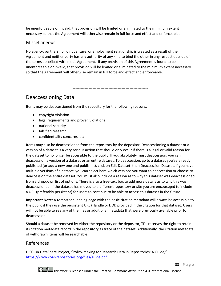be unenforceable or invalid, that provision will be limited or eliminated to the minimum extent necessary so that the Agreement will otherwise remain in full force and effect and enforceable.

### Miscellaneous

No agency, partnership, joint venture, or employment relationship is created as a result of the Agreement and neither party has any authority of any kind to bind the other in any respect outside of the terms described within this Agreement. If any provision of this Agreement is found to be unenforceable or invalid, that provision will be limited or eliminated to the minimum extent necessary so that the Agreement will otherwise remain in full force and effect and enforceable.

---------------------------------------------------------

# Deaccessioning Data

Items may be deaccessioned from the repository for the following reasons:

- copyright violation
- **•** legal requirements and proven violations
- national security
- **•** falsified research
- confidentiality concerns, etc.

Items may also be deaccessioned from the repository by the depositor. Deaccessioning a dataset or a version of a dataset is a very serious action that should only occur if there is a legal or valid reason for the dataset to no longer be accessible to the public. If you absolutely must deaccession, you can deaccession a version of a dataset or an entire dataset. To deaccession, go to a dataset you've already published (or add a new one and publish it), click on Edit Dataset, then Deaccession Dataset. If you have multiple versions of a dataset, you can select here which versions you want to deaccession or choose to deaccession the entire dataset. You must also include a reason as to why this dataset was deaccessioned from a dropdown list of options. There is also a free-text box to add more details as to why this was deaccessioned. If the dataset has moved to a different repository or site you are encouraged to include a URL (preferably persistent) for users to continue to be able to access this dataset in the future.

**Important Note**: A tombstone landing page with the basic citation metadata will always be accessible to the public if they use the persistent URL (Handle or DOI) provided in the citation for that dataset. Users will not be able to see any of the files or additional metadata that were previously available prior to deaccession.

Should a dataset be removed by either the repository or the depositor, TDL reserves the right to retain its citation metadata record in the repository as trace of the dataset. Additionally, the citation metadata of withdrawn items will be searchable.

### References

DISC-UK DataShare Project, "Policy-making for Research Data in Repositories: A Guide,["](https://www.coar-repositories.org/files/guide.pdf) <https://www.coar-repositories.org/files/guide.pdf>

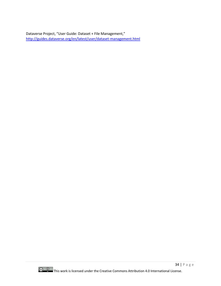Dataverse Project, "User Guide: Dataset + File Management," <http://guides.dataverse.org/en/latest/user/dataset-management.html>

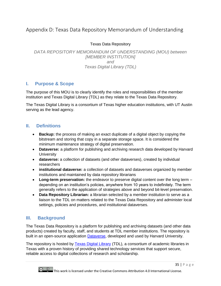# <span id="page-34-0"></span>Appendix D: Texas Data Repository Memorandum of Understanding

### Texas Data Repository

*DATA REPOSITORY MEMORANDUM OF UNDERSTANDING (MOU) between [MEMBER INSTITUTION] and Texas Digital Library (TDL)*

# **I. Purpose & Scope**

The purpose of this MOU is to clearly identify the roles and responsibilities of the member institution and Texas Digital Library (TDL) as they relate to the Texas Data Repository.

The Texas Digital Library is a consortium of Texas higher education institutions, with UT Austin serving as the lead agency.

# **II. Definitions**

- **Backup:** the process of making an exact duplicate of a digital object by copying the bitstream and storing that copy in a separate storage space. It is considered the minimum maintenance strategy of digital preservation.
- **Dataverse:** a platform for publishing and archiving research data developed by Harvard **University**
- **dataverse:** a collection of datasets (and other dataverses), created by individual researchers
- **institutional dataverse:** a collection of datasets and dataverses organized by member institutions and maintained by data repository librarians
- **Long-term preservation:** the endeavor to preserve digital content over the long term depending on an institution's policies, anywhere from 10 years to indefinitely. The term generally refers to the application of strategies above and beyond bit-level preservation.
- **Data Repository Librarian:** a librarian selected by a member institution to serve as a liaison to the TDL on matters related to the Texas Data Repository and administer local settings, policies and procedures, and institutional dataverses.

# **III. Background**

The Texas Data Repository is a platform for publishing and archiving datasets (and other data products) created by faculty, staff, and students at TDL member institutions. The repository is built in an open-source application **Dataverse**, developed and used by Harvard University.

The repository is hosted by **Texas Digital Library** (TDL), a consortium of academic libraries in Texas with a proven history of providing shared technology services that support secure, reliable access to digital collections of research and scholarship.

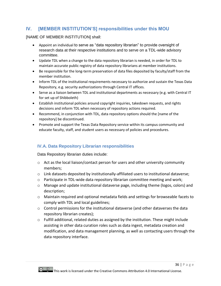# **IV. [MEMBER INSTITUTION'S] responsibilities under this MOU**

### [NAME OF MEMBER INSTITUTION] shall:

- Appoint an individual to serve as "data repository librarian" to provide oversight of research data at their respective institutions and to serve on a TDL-wide advisory committee.
- Update TDL when a change to the data repository librarian is needed, in order for TDL to maintain accurate public registry of data repository librarians at member institutions.
- Be responsible for the long-term preservation of data files deposited by faculty/staff from the member institution.
- Inform TDL of the institutional requirements necessary to authorize and sustain the Texas Data Repository, e.g. security authorizations through Central IT offices.
- Serve as a liaison between TDL and institutional departments as necessary (e.g. with Central IT for set up of Shibboleth)
- Establish institutional policies around copyright inquiries, takedown requests, and rights decisions and inform TDL when necessary of repository actions required.
- Recommend, in conjunction with TDL, data repository options should the [name of the repository] be discontinued.
- Promote and support the Texas Data Repository service within its campus community and educate faculty, staff, and student users as necessary of policies and procedures.

# **IV.A. Data Repository Librarian responsibilities**

Data Repository librarian duties include:

- o Act as the local liaison/contact person for users and other university community members;
- $\circ$  Link datasets deposited by institutionally-affiliated users to institutional dataverse;
- $\circ$  Participate in TDL-wide data repository librarian committee meeting and work;
- o Manage and update institutional dataverse page, including theme (logos, colors) and description;
- o Maintain required and optional metadata fields and settings for browseable facets to comply with TDL and local guidelines;
- $\circ$  Control permissions for the institutional dataverse (and other dataverses the data repository librarian creates);
- $\circ$  Fulfill additional, related duties as assigned by the institution. These might include assisting in other data curation roles such as data ingest, metadata creation and modification, and data management planning, as well as contacting users through the data repository interface.